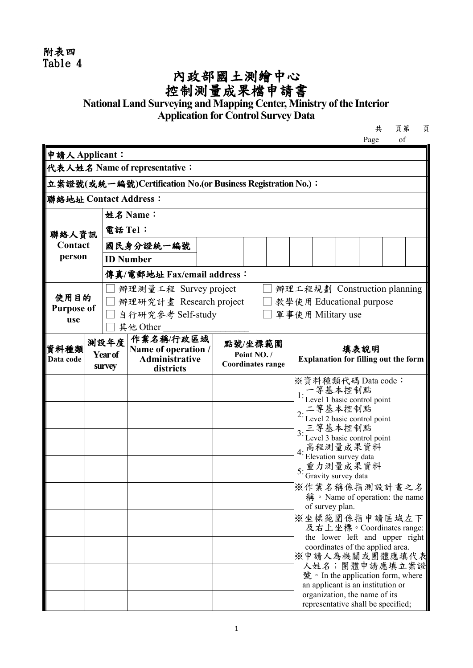## 附表四 Table 4

## 內政部國土測繪中心 控制測量成果檔申請書

## **National Land Surveying and Mapping Center, Ministry of the Interior Application for Control Survey Data**

|      | 頁第 |  |
|------|----|--|
| Page |    |  |

| 申請人Applicant:             |                                                             |                                        |                                    |  |                          |  |  |                                              |                                                                    |  |  |  |
|---------------------------|-------------------------------------------------------------|----------------------------------------|------------------------------------|--|--------------------------|--|--|----------------------------------------------|--------------------------------------------------------------------|--|--|--|
|                           | 代表人姓名 Name of representative:                               |                                        |                                    |  |                          |  |  |                                              |                                                                    |  |  |  |
|                           | 立案證號(或統一編號)Certification No.(or Business Registration No.): |                                        |                                    |  |                          |  |  |                                              |                                                                    |  |  |  |
| 聯絡地址 Contact Address:     |                                                             |                                        |                                    |  |                          |  |  |                                              |                                                                    |  |  |  |
|                           | 姓名 Name:                                                    |                                        |                                    |  |                          |  |  |                                              |                                                                    |  |  |  |
| 聯絡人資訊                     |                                                             | 電話 Tel:                                |                                    |  |                          |  |  |                                              |                                                                    |  |  |  |
|                           | Contact<br>國民身分證統一編號                                        |                                        |                                    |  |                          |  |  |                                              |                                                                    |  |  |  |
| person                    |                                                             |                                        | <b>ID Number</b>                   |  |                          |  |  |                                              |                                                                    |  |  |  |
|                           |                                                             |                                        | 傳真/電郵地址 Fax/email address:         |  |                          |  |  |                                              |                                                                    |  |  |  |
|                           |                                                             |                                        | 辦理測量工程 Survey project              |  |                          |  |  | 辦理工程規劃 Construction planning                 |                                                                    |  |  |  |
| 使用目的<br><b>Purpose of</b> |                                                             |                                        | 辦理研究計畫 Research project            |  |                          |  |  | 教學使用 Educational purpose                     |                                                                    |  |  |  |
| use                       |                                                             |                                        | 自行研究參考 Self-study                  |  |                          |  |  | 軍事使用 Military use                            |                                                                    |  |  |  |
|                           |                                                             |                                        | 其他 Other<br>作業名稱/行政區域              |  |                          |  |  |                                              |                                                                    |  |  |  |
| 資料種類                      |                                                             | 測設年度<br>Name of operation /<br>Year of |                                    |  | 點號/坐標範圍<br>Point NO. /   |  |  |                                              | 填表說明                                                               |  |  |  |
| Data code                 |                                                             | <b>SUIVEY</b>                          | <b>Administrative</b><br>districts |  | <b>Coordinates range</b> |  |  | <b>Explanation for filling out the form</b>  |                                                                    |  |  |  |
|                           |                                                             |                                        |                                    |  |                          |  |  | ※資料種類代碼 Data code:                           |                                                                    |  |  |  |
|                           |                                                             |                                        |                                    |  |                          |  |  | 1: 一等基本控制點<br>1: Level 1 basic control point |                                                                    |  |  |  |
|                           |                                                             |                                        |                                    |  |                          |  |  | 2: 二等基本控制點<br>2: Level 2 basic control point |                                                                    |  |  |  |
|                           |                                                             |                                        |                                    |  |                          |  |  |                                              |                                                                    |  |  |  |
|                           |                                                             |                                        |                                    |  |                          |  |  | 3: 三等基本控制點<br>3: Level 3 basic control point |                                                                    |  |  |  |
|                           |                                                             |                                        |                                    |  |                          |  |  | 4: 高程測量成果資料                                  | Elevation survey data                                              |  |  |  |
|                           |                                                             |                                        |                                    |  |                          |  |  |                                              | 重力測量成果資料<br>Gravity survey data                                    |  |  |  |
|                           |                                                             |                                        |                                    |  |                          |  |  | ※作業名稱係指測設計畫之名                                |                                                                    |  |  |  |
|                           |                                                             |                                        |                                    |  |                          |  |  |                                              | 稱 · Name of operation: the name                                    |  |  |  |
|                           |                                                             |                                        |                                    |  |                          |  |  | ※坐標範圍係指申請區域左下                                | of survey plan.                                                    |  |  |  |
|                           |                                                             |                                        |                                    |  |                          |  |  |                                              | 及右上坐標。Coordinates range:                                           |  |  |  |
|                           |                                                             |                                        |                                    |  |                          |  |  |                                              | the lower left and upper right<br>coordinates of the applied area. |  |  |  |
|                           |                                                             |                                        |                                    |  |                          |  |  | ※申請人為機關或團體應填代表                               |                                                                    |  |  |  |
|                           |                                                             |                                        |                                    |  |                          |  |  |                                              | 人姓名;團體申請應填立案證<br>號 • In the application form, where                |  |  |  |
|                           |                                                             |                                        |                                    |  |                          |  |  |                                              | an applicant is an institution or                                  |  |  |  |
|                           |                                                             |                                        |                                    |  |                          |  |  |                                              | organization, the name of its                                      |  |  |  |
|                           |                                                             |                                        |                                    |  |                          |  |  |                                              | representative shall be specified;                                 |  |  |  |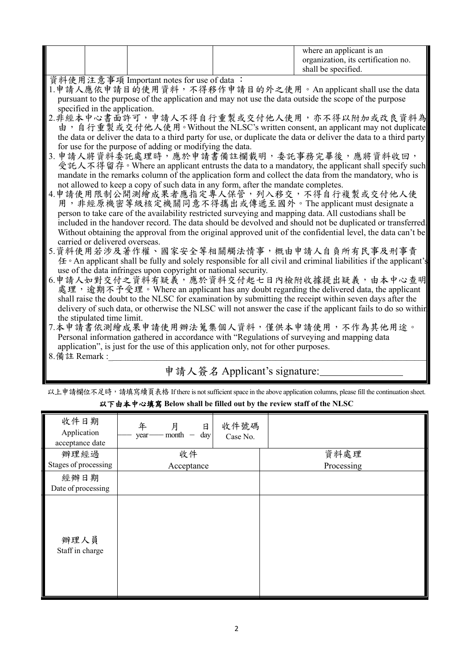| organization, its certification no. | shall be specified. |
|-------------------------------------|---------------------|
|-------------------------------------|---------------------|

資料使用注意事項 Important notes for use of data :

- 1.申請人應依申請目的使用資料,不得移作申請目的外之使用。An applicant shall use the data pursuant to the purpose of the application and may not use the data outside the scope of the purpose specified in the application.<br>2.非經本中心書面許可,申請人不得自行重製或交付他人使用,亦不得以附加或改良資料為
- 由, 自行重製或交付他人使用。Without the NLSC's written consent, an applicant may not duplicate the data or deliver the data to a third party for use, or duplicate the data or deliver the data to a third party for use for the purpose of adding or modifying the data.
- 3. 申請人將資料委託處理時,應於申請書備註欄載明,委託事務完畢後,應將資料收回,<br>受託人不得留存。Where an applicant entrusts the data to a mandatory, the applicant shall specify such mandate in the remarks column of the application form and collect the data from the mandatory, who is not allowed to keep a copy of such data in any form, after the mandate completes.
- 4.申請使用限制公開測繪成果者應指定專人保管,列入移交,不得自行複製或交付他人使<br>- 用,非經原機密等級核定機關同意不得攜出或傳遞至國外。The applicant must designate a person to take care of the availability restricted surveying and mapping data. All custodians shall be included in the handover record. The data should be devolved and should not be duplicated or transferred. Without obtaining the approval from the original approved unit of the confidential level, the data can't be carried or delivered overseas.
- 5.資料使用若涉及著作權、國家安全等相關觸法情事,概由申請人自負所有民事及刑事責 任。An applicant shall be fully and solely responsible for all civil and criminal liabilities if the applicant's use of the data infringes upon copyright or national security.
- 6.申請人如對交付之資料有疑義,應於資料交付起七日內檢附收據提出疑義,由本中心查明<br>- 處理,逾期不予受理。Where an applicant has any doubt regarding the delivered data, the applicant shall raise the doubt to the NLSC for examination by submitting the receipt within seven days after the delivery of such data, or otherwise the NLSC will not answer the case if the applicant fails to do so within the stipulated time limit.
- 7.本申請書依測繪成果申請使用辦法蒐集個人資料,僅供本申請使用,不作為其他用途。 Personal information gathered in accordance with "Regulations of surveying and mapping data application", is just for the use of this application only, not for other purposes.
- $8.$  備註 Remark :

## 申請人簽名 Applicant's signature:

以上申請欄位不足時,請填寫續頁表格 If there is not sufficient space in the above application columns, please fill the continuation sheet. 以下由本中心填寫 **Below shall be filled out by the review staff of the NLSC**

| 收件日期<br>Application<br>acceptance date | 年<br>月<br>日<br>$-$ month $-$<br>day<br>year- | 收件號碼<br>Case No. |            |
|----------------------------------------|----------------------------------------------|------------------|------------|
| 辦理經過                                   | 收件                                           |                  | 資料處理       |
| Stages of processing                   | Acceptance                                   |                  | Processing |
| 經辦日期                                   |                                              |                  |            |
| Date of processing                     |                                              |                  |            |
| 辦理人員<br>Staff in charge                |                                              |                  |            |